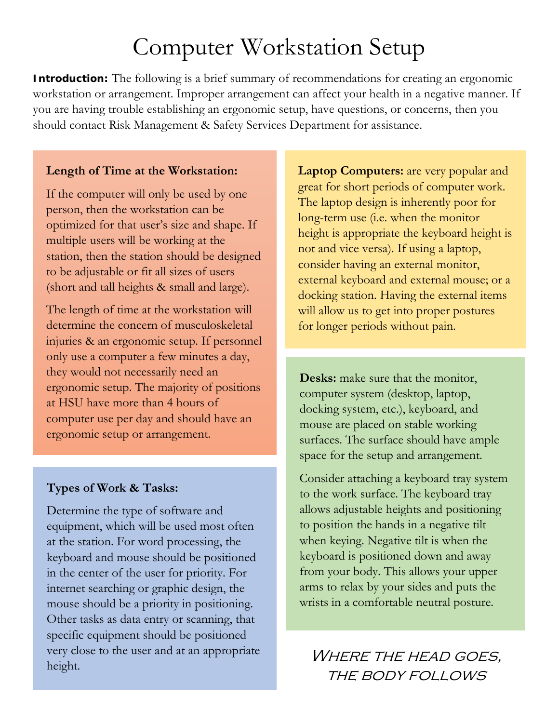# Computer Workstation Setup

**Introduction:** The following is a brief summary of recommendations for creating an ergonomic workstation or arrangement. Improper arrangement can affect your health in a negative manner. If you are having trouble establishing an ergonomic setup, have questions, or concerns, then you should contact Risk Management & Safety Services Department for assistance.

# **Length of Time at the Workstation:**

If the computer will only be used by one person, then the workstation can be optimized for that user's size and shape. If multiple users will be working at the station, then the station should be designed to be adjustable or fit all sizes of users (short and tall heights & small and large).

The length of time at the workstation will determine the concern of musculoskeletal injuries & an ergonomic setup. If personnel only use a computer a few minutes a day, they would not necessarily need an ergonomic setup. The majority of positions at HSU have more than 4 hours of computer use per day and should have an ergonomic setup or arrangement.

# **Types of Work & Tasks:**

Determine the type of software and equipment, which will be used most often at the station. For word processing, the keyboard and mouse should be positioned in the center of the user for priority. For internet searching or graphic design, the mouse should be a priority in positioning. Other tasks as data entry or scanning, that specific equipment should be positioned very close to the user and at an appropriate very close to the user and at an appropriate WHERE THE HEAD GOES,<br>height.

**Laptop Computers:** are very popular and great for short periods of computer work. The laptop design is inherently poor for long-term use (i.e. when the monitor height is appropriate the keyboard height is not and vice versa). If using a laptop, consider having an external monitor, external keyboard and external mouse; or a docking station. Having the external items will allow us to get into proper postures for longer periods without pain.

**Desks:** make sure that the monitor, computer system (desktop, laptop, docking system, etc.), keyboard, and mouse are placed on stable working surfaces. The surface should have ample space for the setup and arrangement.

Consider attaching a keyboard tray system to the work surface. The keyboard tray allows adjustable heights and positioning to position the hands in a negative tilt when keying. Negative tilt is when the keyboard is positioned down and away from your body. This allows your upper arms to relax by your sides and puts the wrists in a comfortable neutral posture.

the body follows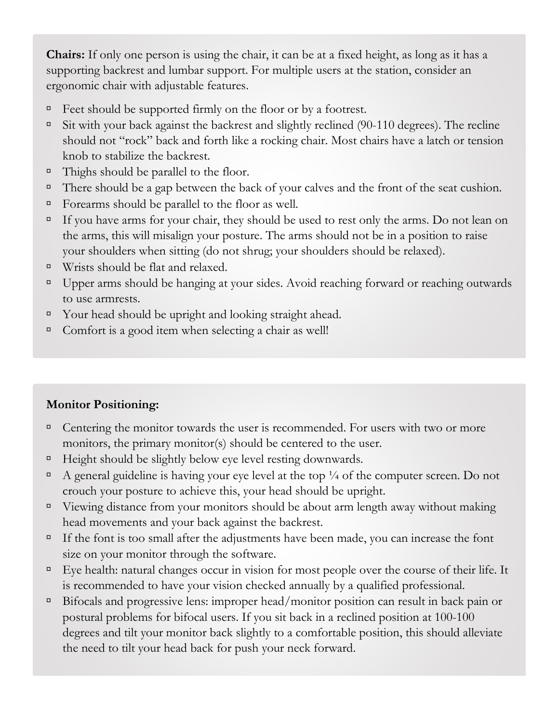**Chairs:** If only one person is using the chair, it can be at a fixed height, as long as it has a supporting backrest and lumbar support. For multiple users at the station, consider an ergonomic chair with adjustable features.

- Feet should be supported firmly on the floor or by a footrest.
- $\overline{\phantom{a}}$  Sit with your back against the backrest and slightly reclined (90-110 degrees). The recline should not "rock" back and forth like a rocking chair. Most chairs have a latch or tension knob to stabilize the backrest.
- $\Box$  Thighs should be parallel to the floor.
- There should be a gap between the back of your calves and the front of the seat cushion.
- Forearms should be parallel to the floor as well.
- If you have arms for your chair, they should be used to rest only the arms. Do not lean on the arms, this will misalign your posture. The arms should not be in a position to raise your shoulders when sitting (do not shrug; your shoulders should be relaxed).
- Wrists should be flat and relaxed.
- □ Upper arms should be hanging at your sides. Avoid reaching forward or reaching outwards to use armrests.
- Your head should be upright and looking straight ahead.
- □ Comfort is a good item when selecting a chair as well!

# **Monitor Positioning:**

- $\Box$  Centering the monitor towards the user is recommended. For users with two or more monitors, the primary monitor(s) should be centered to the user.
- $\Box$  Height should be slightly below eye level resting downwards.
- A general guideline is having your eye level at the top  $\frac{1}{4}$  of the computer screen. Do not crouch your posture to achieve this, your head should be upright.
- $\Box$  Viewing distance from your monitors should be about arm length away without making head movements and your back against the backrest.
- If the font is too small after the adjustments have been made, you can increase the font size on your monitor through the software.
- Eye health: natural changes occur in vision for most people over the course of their life. It is recommended to have your vision checked annually by a qualified professional.
- Bifocals and progressive lens: improper head/monitor position can result in back pain or postural problems for bifocal users. If you sit back in a reclined position at 100-100 degrees and tilt your monitor back slightly to a comfortable position, this should alleviate the need to tilt your head back for push your neck forward.